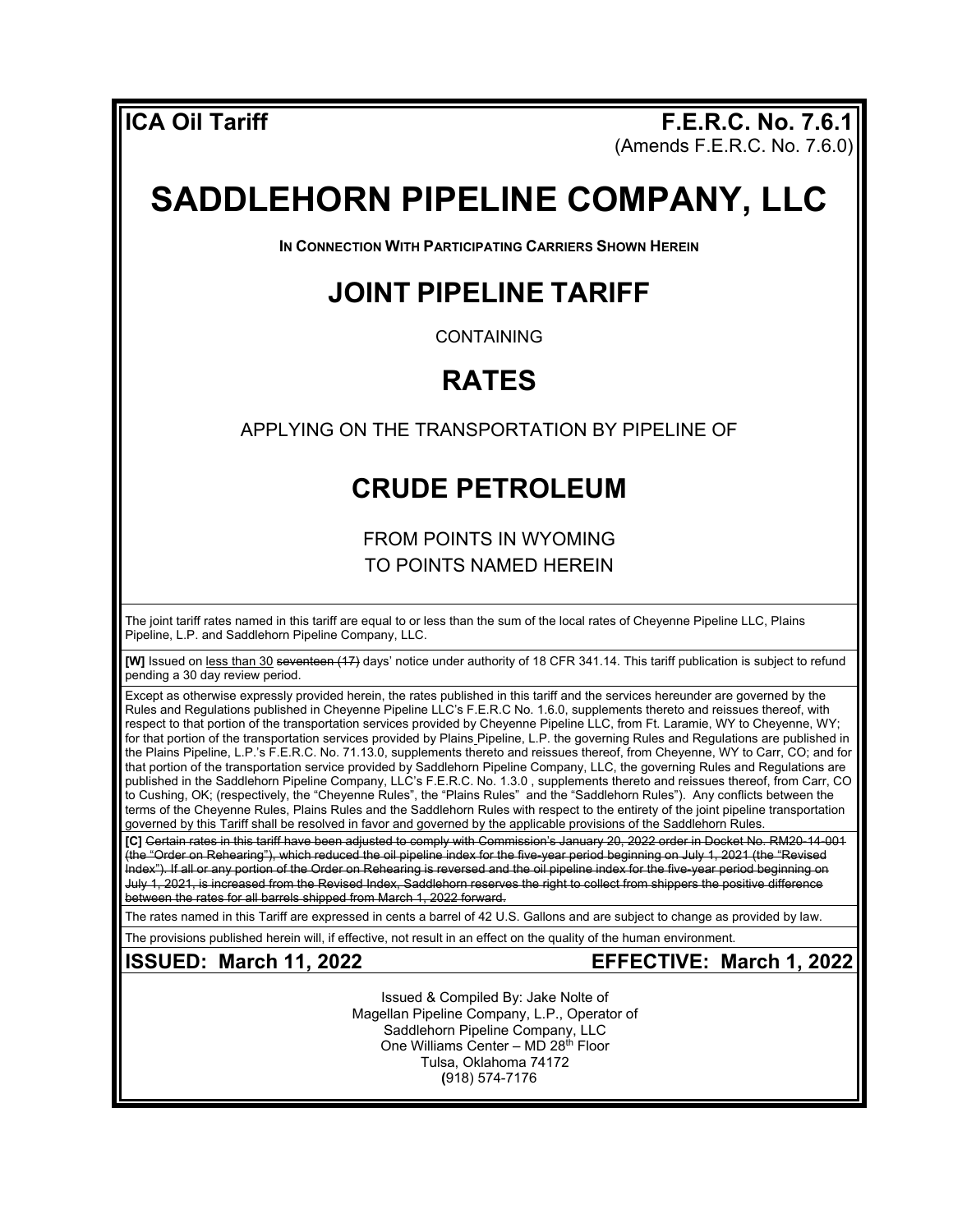**ICA Oil Tariff F.E.R.C. No. 7.6.1** (Amends F.E.R.C. No. 7.6.0)

# **SADDLEHORN PIPELINE COMPANY, LLC**

**IN CONNECTION WITH PARTICIPATING CARRIERS SHOWN HEREIN**

### **JOINT PIPELINE TARIFF**

CONTAINING

## **RATES**

APPLYING ON THE TRANSPORTATION BY PIPELINE OF

### **CRUDE PETROLEUM**

FROM POINTS IN WYOMING TO POINTS NAMED HEREIN

The joint tariff rates named in this tariff are equal to or less than the sum of the local rates of Cheyenne Pipeline LLC, Plains Pipeline, L.P. and Saddlehorn Pipeline Company, LLC.

**[W]** Issued on less than 30 seventeen (17) days' notice under authority of 18 CFR 341.14. This tariff publication is subject to refund pending a 30 day review period.

Except as otherwise expressly provided herein, the rates published in this tariff and the services hereunder are governed by the Rules and Regulations published in Cheyenne Pipeline LLC's F.E.R.C No. 1.6.0, supplements thereto and reissues thereof, with respect to that portion of the transportation services provided by Cheyenne Pipeline LLC, from Ft. Laramie, WY to Cheyenne, WY; for that portion of the transportation services provided by Plains Pipeline, L.P. the governing Rules and Regulations are published in the Plains Pipeline, L.P.'s F.E.R.C. No. 71.13.0, supplements thereto and reissues thereof, from Cheyenne, WY to Carr, CO; and for that portion of the transportation service provided by Saddlehorn Pipeline Company, LLC, the governing Rules and Regulations are published in the Saddlehorn Pipeline Company, LLC's F.E.R.C. No. 1.3.0 , supplements thereto and reissues thereof, from Carr, CO to Cushing, OK; (respectively, the "Cheyenne Rules", the "Plains Rules" and the "Saddlehorn Rules"). Any conflicts between the terms of the Cheyenne Rules, Plains Rules and the Saddlehorn Rules with respect to the entirety of the joint pipeline transportation governed by this Tariff shall be resolved in favor and governed by the applicable provisions of the Saddlehorn Rules.

**[C]** Certain rates in this tariff have been adjusted to comply with Commission's January 20, 2022 order in Docket No. RM20-14-001 (the "Order on Rehearing"), which reduced the oil pipeline index for the five-year period beginning on July 1, 2021 (the "Revised Index"). If all or any portion of the Order on Rehearing is reversed and the oil pipeline index for the five-year period beginning on July 1, 2021, is increased from the Revised Index, Saddlehorn reserves the right to collect from shippers the positive difference between the rates for all barrels shipped from March 1, 2022 forward.

The rates named in this Tariff are expressed in cents a barrel of 42 U.S. Gallons and are subject to change as provided by law.

The provisions published herein will, if effective, not result in an effect on the quality of the human environment.

**ISSUED: March 11, 2022 EFFECTIVE: March 1, 2022**

Issued & Compiled By: Jake Nolte of Magellan Pipeline Company, L.P., Operator of Saddlehorn Pipeline Company, LLC One Williams Center – MD 28th Floor Tulsa, Oklahoma 74172 **(**918) 574-7176